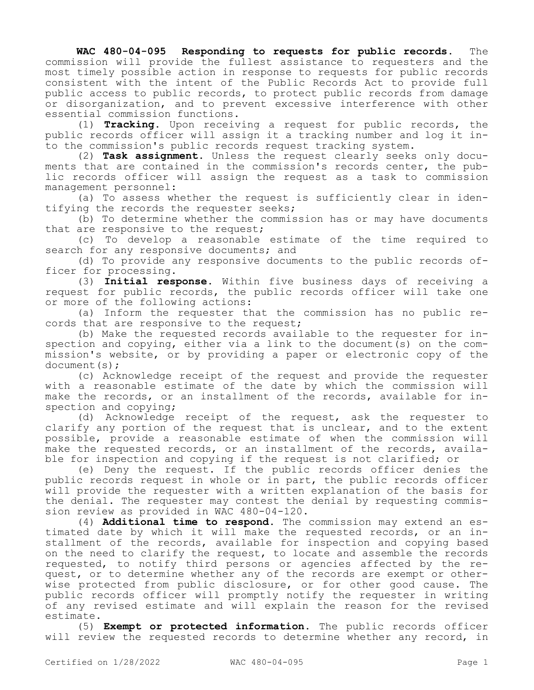**WAC 480-04-095 Responding to requests for public records.** The commission will provide the fullest assistance to requesters and the most timely possible action in response to requests for public records consistent with the intent of the Public Records Act to provide full public access to public records, to protect public records from damage or disorganization, and to prevent excessive interference with other essential commission functions.

(1) **Tracking.** Upon receiving a request for public records, the public records officer will assign it a tracking number and log it into the commission's public records request tracking system.

(2) **Task assignment.** Unless the request clearly seeks only documents that are contained in the commission's records center, the public records officer will assign the request as a task to commission management personnel:

(a) To assess whether the request is sufficiently clear in identifying the records the requester seeks;

(b) To determine whether the commission has or may have documents that are responsive to the request;

(c) To develop a reasonable estimate of the time required to search for any responsive documents; and

(d) To provide any responsive documents to the public records officer for processing.

(3) **Initial response.** Within five business days of receiving a request for public records, the public records officer will take one or more of the following actions:

(a) Inform the requester that the commission has no public records that are responsive to the request;

(b) Make the requested records available to the requester for inspection and copying, either via a link to the document(s) on the commission's website, or by providing a paper or electronic copy of the document(s);

(c) Acknowledge receipt of the request and provide the requester with a reasonable estimate of the date by which the commission will make the records, or an installment of the records, available for inspection and copying;

(d) Acknowledge receipt of the request, ask the requester to clarify any portion of the request that is unclear, and to the extent possible, provide a reasonable estimate of when the commission will make the requested records, or an installment of the records, available for inspection and copying if the request is not clarified; or

(e) Deny the request. If the public records officer denies the public records request in whole or in part, the public records officer will provide the requester with a written explanation of the basis for the denial. The requester may contest the denial by requesting commission review as provided in WAC 480-04-120.

(4) **Additional time to respond.** The commission may extend an estimated date by which it will make the requested records, or an installment of the records, available for inspection and copying based on the need to clarify the request, to locate and assemble the records requested, to notify third persons or agencies affected by the request, or to determine whether any of the records are exempt or otherwise protected from public disclosure, or for other good cause. The public records officer will promptly notify the requester in writing of any revised estimate and will explain the reason for the revised estimate.

(5) **Exempt or protected information.** The public records officer will review the requested records to determine whether any record, in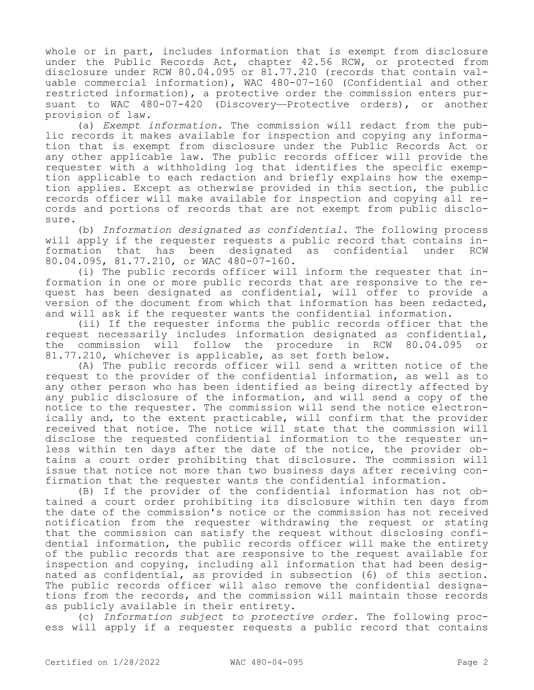whole or in part, includes information that is exempt from disclosure under the Public Records Act, chapter 42.56 RCW, or protected from disclosure under RCW 80.04.095 or 81.77.210 (records that contain valuable commercial information), WAC 480-07-160 (Confidential and other restricted information), a protective order the commission enters pursuant to WAC 480-07-420 (Discovery—Protective orders), or another provision of law.

(a) *Exempt information.* The commission will redact from the public records it makes available for inspection and copying any information that is exempt from disclosure under the Public Records Act or any other applicable law. The public records officer will provide the requester with a withholding log that identifies the specific exemption applicable to each redaction and briefly explains how the exemption applies. Except as otherwise provided in this section, the public records officer will make available for inspection and copying all records and portions of records that are not exempt from public disclosure.

(b) *Information designated as confidential.* The following process will apply if the requester requests a public record that contains information that has been designated as confidential under RCW 80.04.095, 81.77.210, or WAC 480-07-160.

(i) The public records officer will inform the requester that information in one or more public records that are responsive to the request has been designated as confidential, will offer to provide a version of the document from which that information has been redacted, and will ask if the requester wants the confidential information.

(ii) If the requester informs the public records officer that the request necessarily includes information designated as confidential, the commission will follow the procedure in RCW 80.04.095 or 81.77.210, whichever is applicable, as set forth below.

(A) The public records officer will send a written notice of the request to the provider of the confidential information, as well as to any other person who has been identified as being directly affected by any public disclosure of the information, and will send a copy of the notice to the requester. The commission will send the notice electronically and, to the extent practicable, will confirm that the provider received that notice. The notice will state that the commission will disclose the requested confidential information to the requester unless within ten days after the date of the notice, the provider obtains a court order prohibiting that disclosure. The commission will issue that notice not more than two business days after receiving confirmation that the requester wants the confidential information.

(B) If the provider of the confidential information has not obtained a court order prohibiting its disclosure within ten days from the date of the commission's notice or the commission has not received notification from the requester withdrawing the request or stating that the commission can satisfy the request without disclosing confidential information, the public records officer will make the entirety of the public records that are responsive to the request available for inspection and copying, including all information that had been designated as confidential, as provided in subsection (6) of this section. The public records officer will also remove the confidential designations from the records, and the commission will maintain those records as publicly available in their entirety.

(c) *Information subject to protective order.* The following process will apply if a requester requests a public record that contains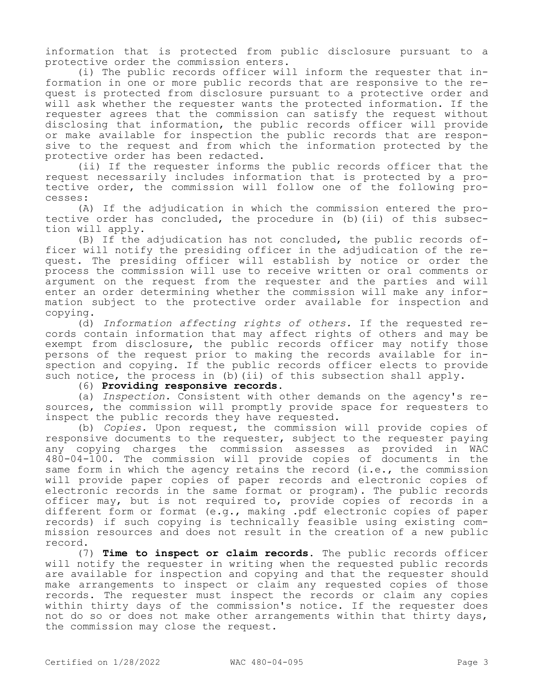information that is protected from public disclosure pursuant to a protective order the commission enters.

(i) The public records officer will inform the requester that information in one or more public records that are responsive to the request is protected from disclosure pursuant to a protective order and will ask whether the requester wants the protected information. If the requester agrees that the commission can satisfy the request without disclosing that information, the public records officer will provide or make available for inspection the public records that are responsive to the request and from which the information protected by the protective order has been redacted.

(ii) If the requester informs the public records officer that the request necessarily includes information that is protected by a protective order, the commission will follow one of the following processes:

(A) If the adjudication in which the commission entered the protective order has concluded, the procedure in (b)(ii) of this subsection will apply.

(B) If the adjudication has not concluded, the public records officer will notify the presiding officer in the adjudication of the request. The presiding officer will establish by notice or order the process the commission will use to receive written or oral comments or argument on the request from the requester and the parties and will enter an order determining whether the commission will make any information subject to the protective order available for inspection and copying.

(d) *Information affecting rights of others.* If the requested records contain information that may affect rights of others and may be exempt from disclosure, the public records officer may notify those persons of the request prior to making the records available for inspection and copying. If the public records officer elects to provide such notice, the process in (b)(ii) of this subsection shall apply.

(6) **Providing responsive records.**

(a) *Inspection.* Consistent with other demands on the agency's resources, the commission will promptly provide space for requesters to inspect the public records they have requested.

(b) *Copies.* Upon request, the commission will provide copies of responsive documents to the requester, subject to the requester paying any copying charges the commission assesses as provided in WAC 480-04-100. The commission will provide copies of documents in the same form in which the agency retains the record (i.e., the commission will provide paper copies of paper records and electronic copies of electronic records in the same format or program). The public records officer may, but is not required to, provide copies of records in a different form or format (e.g., making .pdf electronic copies of paper records) if such copying is technically feasible using existing commission resources and does not result in the creation of a new public record.

(7) **Time to inspect or claim records.** The public records officer will notify the requester in writing when the requested public records are available for inspection and copying and that the requester should make arrangements to inspect or claim any requested copies of those records. The requester must inspect the records or claim any copies within thirty days of the commission's notice. If the requester does not do so or does not make other arrangements within that thirty days, the commission may close the request.